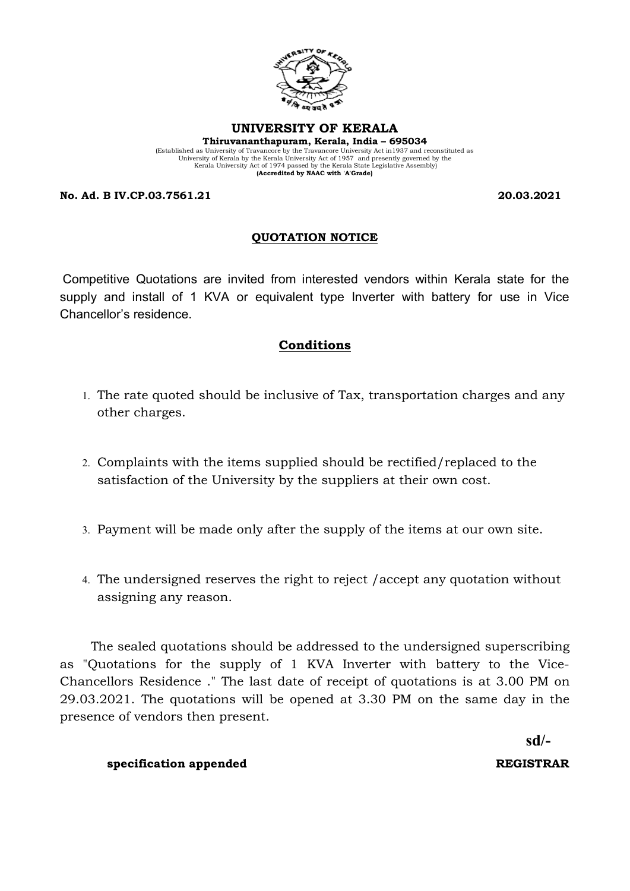

#### **UNIVERSITY OF KERALA Thiruvananthapuram, Kerala, India – 695034**

(Established as University of Travancore by the Travancore University Act in1937 and reconstituted as University of Kerala by the Kerala University Act of 1957 and presently governed by the Kerala University Act of 1974 passed by the Kerala State Legislative Assembly) **(Accredited by NAAC with 'A'Grade)**

**No. Ad. B IV.CP.03.7561.21 20.03.2021**

# **QUOTATION NOTICE**

Competitive Quotations are invited from interested vendors within Kerala state for the supply and install of 1 KVA or equivalent type Inverter with battery for use in Vice Chancellor's residence.

# **Conditions**

- 1. The rate quoted should be inclusive of Tax, transportation charges and any other charges.
- 2. Complaints with the items supplied should be rectified/replaced to the satisfaction of the University by the suppliers at their own cost.
- 3. Payment will be made only after the supply of the items at our own site.
- 4. The undersigned reserves the right to reject /accept any quotation without assigning any reason.

 The sealed quotations should be addressed to the undersigned superscribing as "Quotations for the supply of 1 KVA Inverter with battery to the Vice-Chancellors Residence ." The last date of receipt of quotations is at 3.00 PM on 29.03.2021. The quotations will be opened at 3.30 PM on the same day in the presence of vendors then present.

 **sd/-**

### **specification appended REGISTRAR**